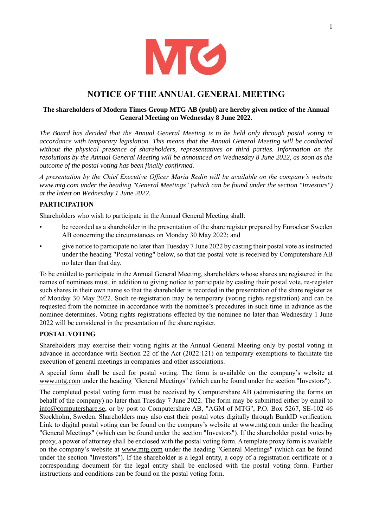

# **NOTICE OF THE ANNUAL GENERAL MEETING**

## **The shareholders of Modern Times Group MTG AB (publ) are hereby given notice of the Annual General Meeting on Wednesday 8 June 2022.**

*The Board has decided that the Annual General Meeting is to be held only through postal voting in accordance with temporary legislation. This means that the Annual General Meeting will be conducted without the physical presence of shareholders, representatives or third parties. Information on the resolutions by the Annual General Meeting will be announced on Wednesday 8 June 2022, as soon as the outcome of the postal voting has been finally confirmed.*

*A presentation by the Chief Executive Officer Maria Redin will be available on the company's website www.mtg.com under the heading "General Meetings" (which can be found under the section "Investors") at the latest on Wednesday 1 June 2022.*

## **PARTICIPATION**

Shareholders who wish to participate in the Annual General Meeting shall:

- be recorded as a shareholder in the presentation of the share register prepared by Euroclear Sweden AB concerning the circumstances on Monday 30 May 2022; and
- give notice to participate no later than Tuesday 7 June 2022 by casting their postal vote as instructed under the heading "Postal voting" below, so that the postal vote is received by Computershare AB no later than that day.

To be entitled to participate in the Annual General Meeting, shareholders whose shares are registered in the names of nominees must, in addition to giving notice to participate by casting their postal vote, re-register such shares in their own name so that the shareholder is recorded in the presentation of the share register as of Monday 30 May 2022. Such re-registration may be temporary (voting rights registration) and can be requested from the nominee in accordance with the nominee's procedures in such time in advance as the nominee determines. Voting rights registrations effected by the nominee no later than Wednesday 1 June 2022 will be considered in the presentation of the share register.

## **POSTAL VOTING**

Shareholders may exercise their voting rights at the Annual General Meeting only by postal voting in advance in accordance with Section 22 of the Act (2022:121) on temporary exemptions to facilitate the execution of general meetings in companies and other associations.

A special form shall be used for postal voting. The form is available on the company's website at www.mtg.com under the heading "General Meetings" (which can be found under the section "Investors").

The completed postal voting form must be received by Computershare AB (administering the forms on behalf of the company) no later than Tuesday 7 June 2022. The form may be submitted either by email to info@computershare.se, or by post to Computershare AB, "AGM of MTG", P.O. Box 5267, SE-102 46 Stockholm, Sweden. Shareholders may also cast their postal votes digitally through BankID verification. Link to digital postal voting can be found on the company's website at www.mtg.com under the heading "General Meetings" (which can be found under the section "Investors"). If the shareholder postal votes by proxy, a power of attorney shall be enclosed with the postal voting form. A template proxy form is available on the company's website at www.mtg.com under the heading "General Meetings" (which can be found under the section "Investors"). If the shareholder is a legal entity, a copy of a registration certificate or a corresponding document for the legal entity shall be enclosed with the postal voting form. Further instructions and conditions can be found on the postal voting form.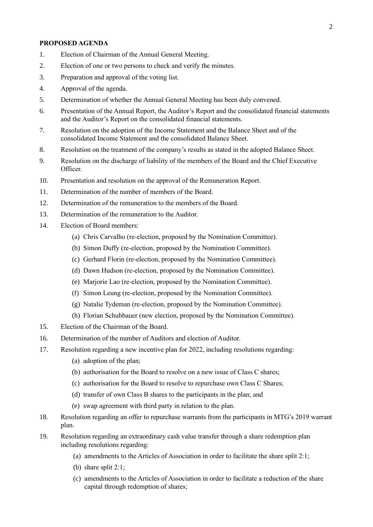#### **PROPOSED AGENDA**

- 1. Election of Chairman of the Annual General Meeting.
- 2. Election of one or two persons to check and verify the minutes.
- 3. Preparation and approval of the voting list.
- 4. Approval of the agenda.
- 5. Determination of whether the Annual General Meeting has been duly convened.
- 6. Presentation of the Annual Report, the Auditor's Report and the consolidated financial statements and the Auditor's Report on the consolidated financial statements.
- 7. Resolution on the adoption of the Income Statement and the Balance Sheet and of the consolidated Income Statement and the consolidated Balance Sheet.
- 8. Resolution on the treatment of the company's results as stated in the adopted Balance Sheet.
- 9. Resolution on the discharge of liability of the members of the Board and the Chief Executive Officer.
- 10. Presentation and resolution on the approval of the Remuneration Report.
- 11. Determination of the number of members of the Board.
- 12. Determination of the remuneration to the members of the Board.
- 13. Determination of the remuneration to the Auditor.
- 14. Election of Board members:
	- (a) Chris Carvalho (re-election, proposed by the Nomination Committee).
	- (b) Simon Duffy (re-election, proposed by the Nomination Committee).
	- (c) Gerhard Florin (re-election, proposed by the Nomination Committee).
	- (d) Dawn Hudson (re-election, proposed by the Nomination Committee).
	- (e) Marjorie Lao (re-election, proposed by the Nomination Committee).
	- (f) Simon Leung (re-election, proposed by the Nomination Committee).
	- (g) Natalie Tydeman (re-election, proposed by the Nomination Committee).
	- (h) Florian Schuhbauer (new election, proposed by the Nomination Committee).
- 15. Election of the Chairman of the Board.
- 16. Determination of the number of Auditors and election of Auditor.
- 17. Resolution regarding a new incentive plan for 2022, including resolutions regarding:
	- (a) adoption of the plan;
	- (b) authorisation for the Board to resolve on a new issue of Class C shares;
	- (c) authorisation for the Board to resolve to repurchase own Class C Shares;
	- (d) transfer of own Class B shares to the participants in the plan; and
	- (e) swap agreement with third party in relation to the plan.
- 18. Resolution regarding an offer to repurchase warrants from the participants in MTG's 2019 warrant plan.
- 19. Resolution regarding an extraordinary cash value transfer through a share redemption plan including resolutions regarding:
	- (a) amendments to the Articles of Association in order to facilitate the share split 2:1;
	- (b) share split 2:1;
	- (c) amendments to the Articles of Association in order to facilitate a reduction of the share capital through redemption of shares;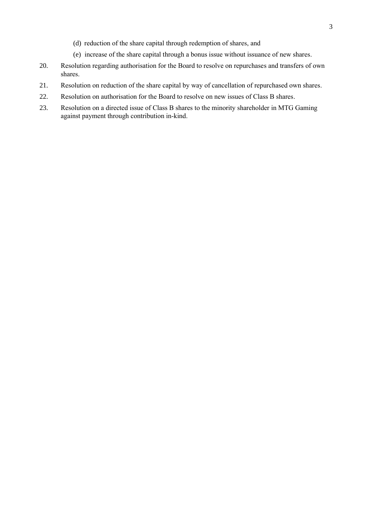- (d) reduction of the share capital through redemption of shares, and
- (e) increase of the share capital through a bonus issue without issuance of new shares.
- 20. Resolution regarding authorisation for the Board to resolve on repurchases and transfers of own shares.
- 21. Resolution on reduction of the share capital by way of cancellation of repurchased own shares.
- 22. Resolution on authorisation for the Board to resolve on new issues of Class B shares.
- 23. Resolution on a directed issue of Class B shares to the minority shareholder in MTG Gaming against payment through contribution in-kind.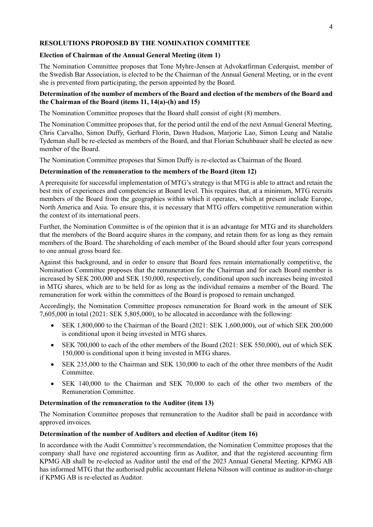# **RESOLUTIONS PROPOSED BY THE NOMINATION COMMITTEE**

## **Election of Chairman of the Annual General Meeting (item 1)**

The Nomination Committee proposes that Tone Myhre-Jensen at Advokatfirman Cederquist, member of the Swedish Bar Association, is elected to be the Chairman of the Annual General Meeting, or in the event she is prevented from participating, the person appointed by the Board.

# **Determination of the number of members of the Board and election of the members of the Board and the Chairman of the Board (items 11, 14(a)-(h) and 15)**

The Nomination Committee proposes that the Board shall consist of eight (8) members.

The Nomination Committee proposes that, for the period until the end of the next Annual General Meeting, Chris Carvalho, Simon Duffy, Gerhard Florin, Dawn Hudson, Marjorie Lao, Simon Leung and Natalie Tydeman shall be re-elected as members of the Board, and that Florian Schuhbauer shall be elected as new member of the Board.

The Nomination Committee proposes that Simon Duffy is re-elected as Chairman of the Board.

## **Determination of the remuneration to the members of the Board (item 12)**

A prerequisite for successful implementation of MTG's strategy is that MTG is able to attract and retain the best mix of experiences and competencies at Board level. This requires that, at a minimum, MTG recruits members of the Board from the geographies within which it operates, which at present include Europe, North America and Asia. To ensure this, it is necessary that MTG offers competitive remuneration within the context of its international peers.

Further, the Nomination Committee is of the opinion that it is an advantage for MTG and its shareholders that the members of the Board acquire shares in the company, and retain them for as long as they remain members of the Board. The shareholding of each member of the Board should after four years correspond to one annual gross board fee.

Against this background, and in order to ensure that Board fees remain internationally competitive, the Nomination Committee proposes that the remuneration for the Chairman and for each Board member is increased by SEK 200,000 and SEK 150,000, respectively, conditional upon such increases being invested in MTG shares, which are to be held for as long as the individual remains a member of the Board. The remuneration for work within the committees of the Board is proposed to remain unchanged.

Accordingly, the Nomination Committee proposes remuneration for Board work in the amount of SEK 7,605,000 in total (2021: SEK 5,805,000), to be allocated in accordance with the following:

- SEK 1,800,000 to the Chairman of the Board (2021: SEK 1,600,000), out of which SEK 200,000 is conditional upon it being invested in MTG shares.
- SEK 700,000 to each of the other members of the Board (2021: SEK 550,000), out of which SEK 150,000 is conditional upon it being invested in MTG shares.
- SEK 235,000 to the Chairman and SEK 130,000 to each of the other three members of the Audit Committee.
- SEK 140,000 to the Chairman and SEK 70,000 to each of the other two members of the Remuneration Committee.

## **Determination of the remuneration to the Auditor (item 13)**

The Nomination Committee proposes that remuneration to the Auditor shall be paid in accordance with approved invoices.

# **Determination of the number of Auditors and election of Auditor (item 16)**

In accordance with the Audit Committee's recommendation, the Nomination Committee proposes that the company shall have one registered accounting firm as Auditor, and that the registered accounting firm KPMG AB shall be re-elected as Auditor until the end of the 2023 Annual General Meeting. KPMG AB has informed MTG that the authorised public accountant Helena Nilsson will continue as auditor-in-charge if KPMG AB is re-elected as Auditor.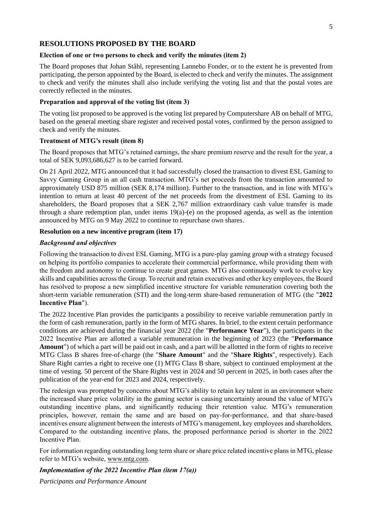## **RESOLUTIONS PROPOSED BY THE BOARD**

#### **Election of one or two persons to check and verify the minutes (item 2)**

The Board proposes that Johan Ståhl, representing Lannebo Fonder, or to the extent he is prevented from participating, the person appointed by the Board, is elected to check and verify the minutes. The assignment to check and verify the minutes shall also include verifying the voting list and that the postal votes are correctly reflected in the minutes.

## **Preparation and approval of the voting list (item 3)**

The voting list proposed to be approved is the voting list prepared by Computershare AB on behalf of MTG, based on the general meeting share register and received postal votes, confirmed by the person assigned to check and verify the minutes.

## **Treatment of MTG's result (item 8)**

The Board proposes that MTG's retained earnings, the share premium reserve and the result for the year, a total of SEK 9,093,686,627 is to be carried forward.

On 21 April 2022, MTG announced that it had successfully closed the transaction to divest ESL Gaming to Savvy Gaming Group in an all cash transaction. MTG's net proceeds from the transaction amounted to approximately USD 875 million (SEK 8,174 million). Further to the transaction, and in line with MTG's intention to return at least 40 percent of the net proceeds from the divestment of ESL Gaming to its shareholders, the Board proposes that a SEK 2,767 million extraordinary cash value transfer is made through a share redemption plan, under items 19(a)-(e) on the proposed agenda, as well as the intention announced by MTG on 9 May 2022 to continue to repurchase own shares.

## **Resolution on a new incentive program (item 17)**

## *Background and objectives*

Following the transaction to divest ESL Gaming, MTG is a pure-play gaming group with a strategy focused on helping its portfolio companies to accelerate their commercial performance, while providing them with the freedom and autonomy to continue to create great games. MTG also continuously work to evolve key skills and capabilities across the Group. To recruit and retain executives and other key employees, the Board has resolved to propose a new simplified incentive structure for variable remuneration covering both the short-term variable remuneration (STI) and the long-term share-based remuneration of MTG (the "**2022 Incentive Plan**").

The 2022 Incentive Plan provides the participants a possibility to receive variable remuneration partly in the form of cash remuneration, partly in the form of MTG shares. In brief, to the extent certain performance conditions are achieved during the financial year 2022 (the "**Performance Year**"), the participants in the 2022 Incentive Plan are allotted a variable remuneration in the beginning of 2023 (the "**Performance Amount**") of which a part will be paid out in cash, and a part will be allotted in the form of rights to receive MTG Class B shares free-of-charge (the "**Share Amount**" and the "**Share Rights**", respectively). Each Share Right carries a right to receive one (1) MTG Class B share, subject to continued employment at the time of vesting. 50 percent of the Share Rights vest in 2024 and 50 percent in 2025, in both cases after the publication of the year-end for 2023 and 2024, respectively.

The redesign was prompted by concerns about MTG's ability to retain key talent in an environment where the increased share price volatility in the gaming sector is causing uncertainty around the value of MTG's outstanding incentive plans, and significantly reducing their retention value. MTG's remuneration principles, however, remain the same and are based on pay-for-performance, and that share-based incentives ensure alignment between the interests of MTG's management, key employees and shareholders. Compared to the outstanding incentive plans, the proposed performance period is shorter in the 2022 Incentive Plan.

For information regarding outstanding long term share or share price related incentive plans in MTG, please refer to MTG's website, www.mtg.com.

## *Implementation of the 2022 Incentive Plan (item 17(a))*

*Participants and Performance Amount*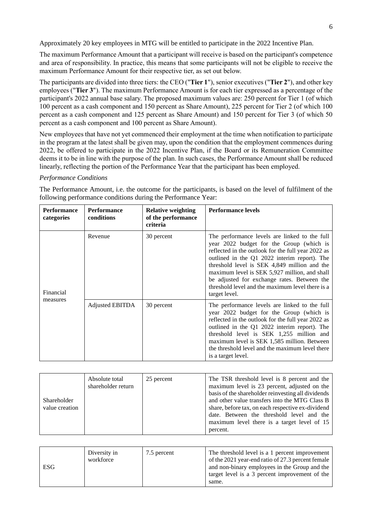Approximately 20 key employees in MTG will be entitled to participate in the 2022 Incentive Plan.

The maximum Performance Amount that a participant will receive is based on the participant's competence and area of responsibility. In practice, this means that some participants will not be eligible to receive the maximum Performance Amount for their respective tier, as set out below.

The participants are divided into three tiers: the CEO ("**Tier 1**"), senior executives ("**Tier 2**"), and other key employees ("**Tier 3**"). The maximum Performance Amount is for each tier expressed as a percentage of the participant's 2022 annual base salary. The proposed maximum values are: 250 percent for Tier 1 (of which 100 percent as a cash component and 150 percent as Share Amount), 225 percent for Tier 2 (of which 100 percent as a cash component and 125 percent as Share Amount) and 150 percent for Tier 3 (of which 50 percent as a cash component and 100 percent as Share Amount).

New employees that have not yet commenced their employment at the time when notification to participate in the program at the latest shall be given may, upon the condition that the employment commences during 2022, be offered to participate in the 2022 Incentive Plan, if the Board or its Remuneration Committee deems it to be in line with the purpose of the plan. In such cases, the Performance Amount shall be reduced linearly, reflecting the portion of the Performance Year that the participant has been employed.

#### *Performance Conditions*

The Performance Amount, i.e. the outcome for the participants, is based on the level of fulfilment of the following performance conditions during the Performance Year:

| <b>Performance</b><br>categories | <b>Performance</b><br>conditions | <b>Relative weighting</b><br>of the performance<br>criteria | <b>Performance levels</b>                                                                                                                                                                                                                                                                                                                                                                                            |
|----------------------------------|----------------------------------|-------------------------------------------------------------|----------------------------------------------------------------------------------------------------------------------------------------------------------------------------------------------------------------------------------------------------------------------------------------------------------------------------------------------------------------------------------------------------------------------|
| Financial<br>measures            | Revenue                          | 30 percent                                                  | The performance levels are linked to the full<br>year 2022 budget for the Group (which is<br>reflected in the outlook for the full year 2022 as<br>outlined in the Q1 2022 interim report). The<br>threshold level is SEK 4,849 million and the<br>maximum level is SEK 5,927 million, and shall<br>be adjusted for exchange rates. Between the<br>threshold level and the maximum level there is a<br>target level. |
|                                  | Adjusted EBITDA                  | 30 percent                                                  | The performance levels are linked to the full<br>year 2022 budget for the Group (which is<br>reflected in the outlook for the full year 2022 as<br>outlined in the Q1 2022 interim report). The<br>threshold level is SEK 1,255 million and<br>maximum level is SEK 1,585 million. Between<br>the threshold level and the maximum level there<br>is a target level.                                                  |

| Shareholder<br>value creation | Absolute total<br>shareholder return | 25 percent | The TSR threshold level is 8 percent and the<br>maximum level is 23 percent, adjusted on the<br>basis of the shareholder reinvesting all dividends<br>and other value transfers into the MTG Class B<br>share, before tax, on each respective ex-dividend<br>date. Between the threshold level and the<br>maximum level there is a target level of 15<br>percent. |
|-------------------------------|--------------------------------------|------------|-------------------------------------------------------------------------------------------------------------------------------------------------------------------------------------------------------------------------------------------------------------------------------------------------------------------------------------------------------------------|
|-------------------------------|--------------------------------------|------------|-------------------------------------------------------------------------------------------------------------------------------------------------------------------------------------------------------------------------------------------------------------------------------------------------------------------------------------------------------------------|

| <b>ESG</b> | Diversity in<br>workforce | 7.5 percent | The threshold level is a 1 percent improvement<br>of the 2021 year-end ratio of 27.3 percent female<br>and non-binary employees in the Group and the<br>target level is a 3 percent improvement of the<br>same. |
|------------|---------------------------|-------------|-----------------------------------------------------------------------------------------------------------------------------------------------------------------------------------------------------------------|
|------------|---------------------------|-------------|-----------------------------------------------------------------------------------------------------------------------------------------------------------------------------------------------------------------|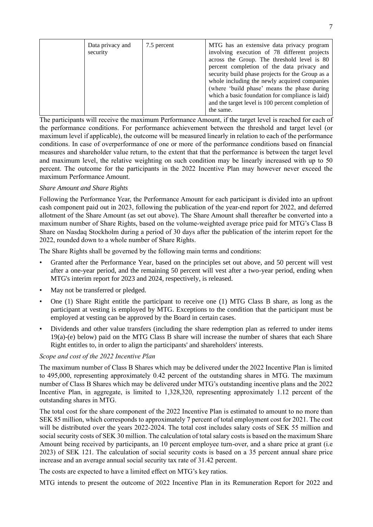|  | Data privacy and<br>security | 7.5 percent | MTG has an extensive data privacy program<br>involving execution of 78 different projects<br>across the Group. The threshold level is 80<br>percent completion of the data privacy and<br>security build phase projects for the Group as a<br>whole including the newly acquired companies<br>(where 'build phase' means the phase during<br>which a basic foundation for compliance is laid)<br>and the target level is 100 percent completion of<br>the same. |
|--|------------------------------|-------------|-----------------------------------------------------------------------------------------------------------------------------------------------------------------------------------------------------------------------------------------------------------------------------------------------------------------------------------------------------------------------------------------------------------------------------------------------------------------|
|--|------------------------------|-------------|-----------------------------------------------------------------------------------------------------------------------------------------------------------------------------------------------------------------------------------------------------------------------------------------------------------------------------------------------------------------------------------------------------------------------------------------------------------------|

The participants will receive the maximum Performance Amount, if the target level is reached for each of the performance conditions. For performance achievement between the threshold and target level (or maximum level if applicable), the outcome will be measured linearly in relation to each of the performance conditions. In case of overperformance of one or more of the performance conditions based on financial measures and shareholder value return, to the extent that that the performance is between the target level and maximum level, the relative weighting on such condition may be linearly increased with up to 50 percent. The outcome for the participants in the 2022 Incentive Plan may however never exceed the maximum Performance Amount.

## *Share Amount and Share Rights*

Following the Performance Year, the Performance Amount for each participant is divided into an upfront cash component paid out in 2023, following the publication of the year-end report for 2022, and deferred allotment of the Share Amount (as set out above). The Share Amount shall thereafter be converted into a maximum number of Share Rights, based on the volume-weighted average price paid for MTG's Class B Share on Nasdaq Stockholm during a period of 30 days after the publication of the interim report for the 2022, rounded down to a whole number of Share Rights.

The Share Rights shall be governed by the following main terms and conditions:

- Granted after the Performance Year, based on the principles set out above, and 50 percent will vest after a one-year period, and the remaining 50 percent will vest after a two-year period, ending when MTG's interim report for 2023 and 2024, respectively, is released.
- May not be transferred or pledged.
- One (1) Share Right entitle the participant to receive one (1) MTG Class B share, as long as the participant at vesting is employed by MTG. Exceptions to the condition that the participant must be employed at vesting can be approved by the Board in certain cases.
- Dividends and other value transfers (including the share redemption plan as referred to under items 19(a)-(e) below) paid on the MTG Class B share will increase the number of shares that each Share Right entitles to, in order to align the participants' and shareholders' interests.

#### *Scope and cost of the 2022 Incentive Plan*

The maximum number of Class B Shares which may be delivered under the 2022 Incentive Plan is limited to 495,000, representing approximately 0.42 percent of the outstanding shares in MTG. The maximum number of Class B Shares which may be delivered under MTG's outstanding incentive plans and the 2022 Incentive Plan, in aggregate, is limited to 1,328,320, representing approximately 1.12 percent of the outstanding shares in MTG.

The total cost for the share component of the 2022 Incentive Plan is estimated to amount to no more than SEK 85 million, which corresponds to approximately 7 percent of total employment cost for 2021. The cost will be distributed over the years 2022-2024. The total cost includes salary costs of SEK 55 million and social security costs of SEK 30 million. The calculation of total salary costs is based on the maximum Share Amount being received by participants, an 10 percent employee turn-over, and a share price at grant (i.e 2023) of SEK 121. The calculation of social security costs is based on a 35 percent annual share price increase and an average annual social security tax rate of 31.42 percent.

The costs are expected to have a limited effect on MTG's key ratios.

MTG intends to present the outcome of 2022 Incentive Plan in its Remuneration Report for 2022 and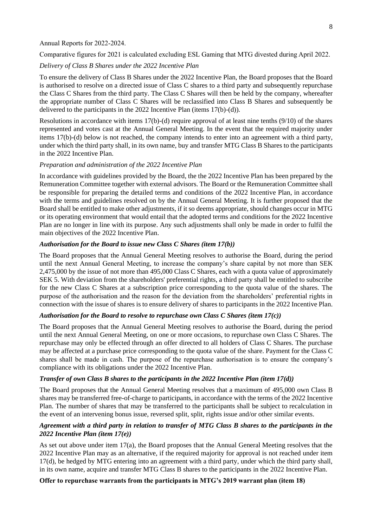#### Annual Reports for 2022-2024.

Comparative figures for 2021 is calculated excluding ESL Gaming that MTG divested during April 2022.

## *Delivery of Class B Shares under the 2022 Incentive Plan*

To ensure the delivery of Class B Shares under the 2022 Incentive Plan, the Board proposes that the Board is authorised to resolve on a directed issue of Class C shares to a third party and subsequently repurchase the Class C Shares from the third party. The Class C Shares will then be held by the company, whereafter the appropriate number of Class C Shares will be reclassified into Class B Shares and subsequently be delivered to the participants in the 2022 Incentive Plan (items 17(b)-(d)).

Resolutions in accordance with items 17(b)-(d) require approval of at least nine tenths (9/10) of the shares represented and votes cast at the Annual General Meeting. In the event that the required majority under items 17(b)-(d) below is not reached, the company intends to enter into an agreement with a third party, under which the third party shall, in its own name, buy and transfer MTG Class B Shares to the participants in the 2022 Incentive Plan.

#### *Preparation and administration of the 2022 Incentive Plan*

In accordance with guidelines provided by the Board, the the 2022 Incentive Plan has been prepared by the Remuneration Committee together with external advisors. The Board or the Remuneration Committee shall be responsible for preparing the detailed terms and conditions of the 2022 Incentive Plan, in accordance with the terms and guidelines resolved on by the Annual General Meeting. It is further proposed that the Board shall be entitled to make other adjustments, if it so deems appropriate, should changes occur in MTG or its operating environment that would entail that the adopted terms and conditions for the 2022 Incentive Plan are no longer in line with its purpose. Any such adjustments shall only be made in order to fulfil the main objectives of the 2022 Incentive Plan.

## *Authorisation for the Board to issue new Class C Shares (item 17(b))*

The Board proposes that the Annual General Meeting resolves to authorise the Board, during the period until the next Annual General Meeting, to increase the company's share capital by not more than SEK 2,475,000 by the issue of not more than 495,000 Class C Shares, each with a quota value of approximately SEK 5. With deviation from the shareholders' preferential rights, a third party shall be entitled to subscribe for the new Class C Shares at a subscription price corresponding to the quota value of the shares. The purpose of the authorisation and the reason for the deviation from the shareholders' preferential rights in connection with the issue of shares is to ensure delivery of shares to participants in the 2022 Incentive Plan.

#### *Authorisation for the Board to resolve to repurchase own Class C Shares (item 17(c))*

The Board proposes that the Annual General Meeting resolves to authorise the Board, during the period until the next Annual General Meeting, on one or more occasions, to repurchase own Class C Shares. The repurchase may only be effected through an offer directed to all holders of Class C Shares. The purchase may be affected at a purchase price corresponding to the quota value of the share. Payment for the Class C shares shall be made in cash. The purpose of the repurchase authorisation is to ensure the company's compliance with its obligations under the 2022 Incentive Plan.

#### *Transfer of own Class B shares to the participants in the 2022 Incentive Plan (item 17(d))*

The Board proposes that the Annual General Meeting resolves that a maximum of 495,000 own Class B shares may be transferred free-of-charge to participants, in accordance with the terms of the 2022 Incentive Plan. The number of shares that may be transferred to the participants shall be subject to recalculation in the event of an intervening bonus issue, reversed split, split, rights issue and/or other similar events.

## *Agreement with a third party in relation to transfer of MTG Class B shares to the participants in the 2022 Incentive Plan (item 17(e))*

As set out above under item 17(a), the Board proposes that the Annual General Meeting resolves that the 2022 Incentive Plan may as an alternative, if the required majority for approval is not reached under item 17(d), be hedged by MTG entering into an agreement with a third party, under which the third party shall, in its own name, acquire and transfer MTG Class B shares to the participants in the 2022 Incentive Plan.

#### **Offer to repurchase warrants from the participants in MTG's 2019 warrant plan (item 18)**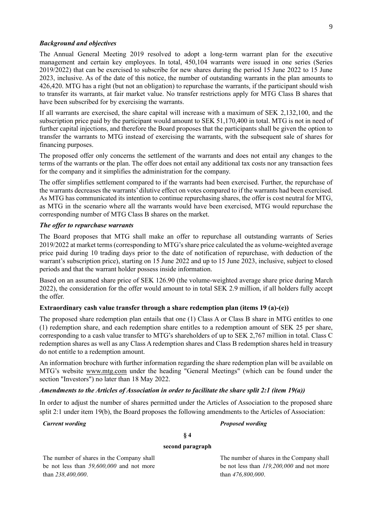#### *Background and objectives*

The Annual General Meeting 2019 resolved to adopt a long-term warrant plan for the executive management and certain key employees. In total, 450,104 warrants were issued in one series (Series 2019/2022) that can be exercised to subscribe for new shares during the period 15 June 2022 to 15 June 2023, inclusive. As of the date of this notice, the number of outstanding warrants in the plan amounts to 426,420. MTG has a right (but not an obligation) to repurchase the warrants, if the participant should wish to transfer its warrants, at fair market value. No transfer restrictions apply for MTG Class B shares that have been subscribed for by exercising the warrants.

If all warrants are exercised, the share capital will increase with a maximum of SEK 2,132,100, and the subscription price paid by the participant would amount to SEK 51,170,400 in total. MTG is not in need of further capital injections, and therefore the Board proposes that the participants shall be given the option to transfer the warrants to MTG instead of exercising the warrants, with the subsequent sale of shares for financing purposes.

The proposed offer only concerns the settlement of the warrants and does not entail any changes to the terms of the warrants or the plan. The offer does not entail any additional tax costs nor any transaction fees for the company and it simplifies the administration for the company.

The offer simplifies settlement compared to if the warrants had been exercised. Further, the repurchase of the warrants decreases the warrants' dilutive effect on votes compared to if the warrants had been exercised. As MTG has communicated its intention to continue repurchasing shares, the offer is cost neutral for MTG, as MTG in the scenario where all the warrants would have been exercised, MTG would repurchase the corresponding number of MTG Class B shares on the market.

#### *The offer to repurchase warrants*

The Board proposes that MTG shall make an offer to repurchase all outstanding warrants of Series 2019/2022 at market terms (corresponding to MTG's share price calculated the as volume-weighted average price paid during 10 trading days prior to the date of notification of repurchase, with deduction of the warrant's subscription price), starting on 15 June 2022 and up to 15 June 2023, inclusive, subject to closed periods and that the warrant holder possess inside information.

Based on an assumed share price of SEK 126.90 (the volume-weighted average share price during March 2022), the consideration for the offer would amount to in total SEK 2.9 million, if all holders fully accept the offer.

## **Extraordinary cash value transfer through a share redemption plan (items 19 (a)-(e))**

The proposed share redemption plan entails that one (1) Class A or Class B share in MTG entitles to one (1) redemption share, and each redemption share entitles to a redemption amount of SEK 25 per share, corresponding to a cash value transfer to MTG's shareholders of up to SEK 2,767 million in total. Class C redemption shares as well as any Class A redemption shares and Class B redemption shares held in treasury do not entitle to a redemption amount.

An information brochure with further information regarding the share redemption plan will be available on MTG's website www.mtg.com under the heading "General Meetings" (which can be found under the section "Investors") no later than 18 May 2022.

## *Amendments to the Articles of Association in order to facilitate the share split 2:1 (item 19(a))*

In order to adjust the number of shares permitted under the Articles of Association to the proposed share split 2:1 under item 19(b), the Board proposes the following amendments to the Articles of Association:

#### *Current wording Proposed wording*

# **§ 4**

#### **second paragraph**

The number of shares in the Company shall be not less than *59,600,000* and not more than *238,400,000*.

The number of shares in the Company shall be not less than *119,200,000* and not more than *476,800,000*.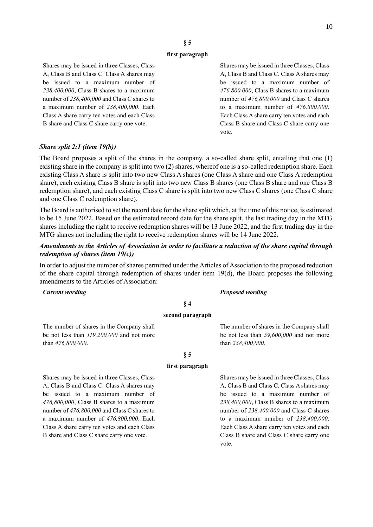## **§ 5**

#### **first paragraph**

Shares may be issued in three Classes, Class A, Class B and Class C. Class A shares may be issued to a maximum number of *238,400,000*, Class B shares to a maximum number of *238,400,000* and Class C shares to a maximum number of *238,400,000*. Each Class A share carry ten votes and each Class B share and Class C share carry one vote.

Shares may be issued in three Classes, Class A, Class B and Class C. Class A shares may be issued to a maximum number of *476,800,000*, Class B shares to a maximum number of *476,800,000* and Class C shares to a maximum number of *476,800,000*. Each Class A share carry ten votes and each Class B share and Class C share carry one vote.

#### *Share split 2:1 (item 19(b))*

The Board proposes a split of the shares in the company, a so-called share split, entailing that one (1) existing share in the company is split into two (2) shares, whereof one is a so-called redemption share. Each existing Class A share is split into two new Class A shares (one Class A share and one Class A redemption share), each existing Class B share is split into two new Class B shares (one Class B share and one Class B redemption share), and each existing Class C share is split into two new Class C shares (one Class C share and one Class C redemption share).

The Board is authorised to set the record date for the share split which, at the time of this notice, is estimated to be 15 June 2022. Based on the estimated record date for the share split, the last trading day in the MTG shares including the right to receive redemption shares will be 13 June 2022, and the first trading day in the MTG shares not including the right to receive redemption shares will be 14 June 2022.

#### *Amendments to the Articles of Association in order to facilitate a reduction of the share capital through redemption of shares (item 19(c))*

In order to adjust the number of shares permitted under the Articles of Association to the proposed reduction of the share capital through redemption of shares under item 19(d), the Board proposes the following amendments to the Articles of Association:

#### *Current wording Proposed wording*

than *238,400,000*.

**§ 4 second paragraph**

The number of shares in the Company shall be not less than *119,200,000* and not more than *476,800,000*.

#### **§ 5**

#### **first paragraph**

Shares may be issued in three Classes, Class A, Class B and Class C. Class A shares may be issued to a maximum number of *476,800,000*, Class B shares to a maximum number of *476,800,000* and Class C shares to a maximum number of *476,800,000*. Each Class A share carry ten votes and each Class B share and Class C share carry one vote.

Shares may be issued in three Classes, Class A, Class B and Class C. Class A shares may be issued to a maximum number of *238,400,000*, Class B shares to a maximum number of *238,400,000* and Class C shares to a maximum number of *238,400,000*. Each Class A share carry ten votes and each Class B share and Class C share carry one vote.

The number of shares in the Company shall be not less than *59,600,000* and not more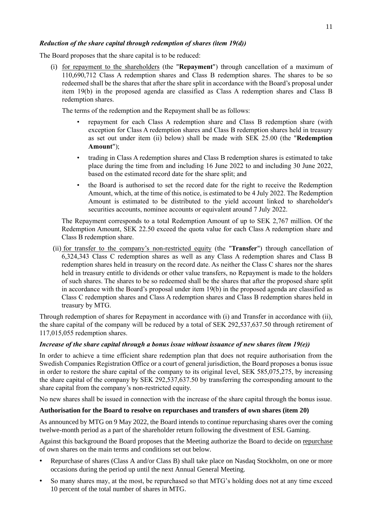# *Reduction of the share capital through redemption of shares (item 19(d))*

The Board proposes that the share capital is to be reduced:

(i) for repayment to the shareholders (the "**Repayment**") through cancellation of a maximum of 110,690,712 Class A redemption shares and Class B redemption shares. The shares to be so redeemed shall be the shares that after the share split in accordance with the Board's proposal under item 19(b) in the proposed agenda are classified as Class A redemption shares and Class B redemption shares.

The terms of the redemption and the Repayment shall be as follows:

- repayment for each Class A redemption share and Class B redemption share (with exception for Class A redemption shares and Class B redemption shares held in treasury as set out under item (ii) below) shall be made with SEK 25.00 (the "**Redemption Amount**");
- trading in Class A redemption shares and Class B redemption shares is estimated to take place during the time from and including 16 June 2022 to and including 30 June 2022, based on the estimated record date for the share split; and
- the Board is authorised to set the record date for the right to receive the Redemption Amount, which, at the time of this notice, is estimated to be 4 July 2022. The Redemption Amount is estimated to be distributed to the yield account linked to shareholder's securities accounts, nominee accounts or equivalent around 7 July 2022.

The Repayment corresponds to a total Redemption Amount of up to SEK 2,767 million. Of the Redemption Amount, SEK 22.50 exceed the quota value for each Class A redemption share and Class B redemption share.

(ii) for transfer to the company's non-restricted equity (the "**Transfer**") through cancellation of 6,324,343 Class C redemption shares as well as any Class A redemption shares and Class B redemption shares held in treasury on the record date. As neither the Class C shares nor the shares held in treasury entitle to dividends or other value transfers, no Repayment is made to the holders of such shares. The shares to be so redeemed shall be the shares that after the proposed share split in accordance with the Board's proposal under item 19(b) in the proposed agenda are classified as Class C redemption shares and Class A redemption shares and Class B redemption shares held in treasury by MTG.

Through redemption of shares for Repayment in accordance with (i) and Transfer in accordance with (ii), the share capital of the company will be reduced by a total of SEK 292,537,637.50 through retirement of 117,015,055 redemption shares.

## *Increase of the share capital through a bonus issue without issuance of new shares (item 19(e))*

In order to achieve a time efficient share redemption plan that does not require authorisation from the Swedish Companies Registration Office or a court of general jurisdiction, the Board proposes a bonus issue in order to restore the share capital of the company to its original level, SEK 585,075,275, by increasing the share capital of the company by SEK 292,537,637.50 by transferring the corresponding amount to the share capital from the company's non-restricted equity.

No new shares shall be issued in connection with the increase of the share capital through the bonus issue.

## **Authorisation for the Board to resolve on repurchases and transfers of own shares (item 20)**

As announced by MTG on 9 May 2022, the Board intends to continue repurchasing shares over the coming twelwe-month period as a part of the shareholder return following the divestment of ESL Gaming.

Against this background the Board proposes that the Meeting authorize the Board to decide on repurchase of own shares on the main terms and conditions set out below.

- Repurchase of shares (Class A and/or Class B) shall take place on Nasdaq Stockholm, on one or more occasions during the period up until the next Annual General Meeting.
- So many shares may, at the most, be repurchased so that MTG's holding does not at any time exceed 10 percent of the total number of shares in MTG.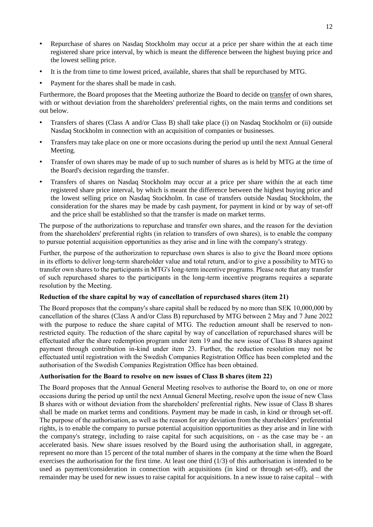- Repurchase of shares on Nasdaq Stockholm may occur at a price per share within the at each time registered share price interval, by which is meant the difference between the highest buying price and the lowest selling price.
- It is the from time to time lowest priced, available, shares that shall be repurchased by MTG.
- Payment for the shares shall be made in cash.

Furthermore, the Board proposes that the Meeting authorize the Board to decide on transfer of own shares, with or without deviation from the shareholders' preferential rights, on the main terms and conditions set out below.

- Transfers of shares (Class A and/or Class B) shall take place (i) on Nasdaq Stockholm or (ii) outside Nasdaq Stockholm in connection with an acquisition of companies or businesses.
- Transfers may take place on one or more occasions during the period up until the next Annual General Meeting.
- Transfer of own shares may be made of up to such number of shares as is held by MTG at the time of the Board's decision regarding the transfer.
- Transfers of shares on Nasdaq Stockholm may occur at a price per share within the at each time registered share price interval, by which is meant the difference between the highest buying price and the lowest selling price on Nasdaq Stockholm. In case of transfers outside Nasdaq Stockholm, the consideration for the shares may be made by cash payment, for payment in kind or by way of set-off and the price shall be established so that the transfer is made on market terms.

The purpose of the authorizations to repurchase and transfer own shares, and the reason for the deviation from the shareholders' preferential rights (in relation to transfers of own shares), is to enable the company to pursue potential acquisition opportunities as they arise and in line with the company's strategy.

Further, the purpose of the authorization to repurchase own shares is also to give the Board more options in its efforts to deliver long-term shareholder value and total return, and/or to give a possibility to MTG to transfer own shares to the participants in MTG's long-term incentive programs. Please note that any transfer of such repurchased shares to the participants in the long-term incentive programs requires a separate resolution by the Meeting.

## **Reduction of the share capital by way of cancellation of repurchased shares (item 21)**

The Board proposes that the company's share capital shall be reduced by no more than SEK 10,000,000 by cancellation of the shares (Class A and/or Class B) repurchased by MTG between 2 May and 7 June 2022 with the purpose to reduce the share capital of MTG. The reduction amount shall be reserved to nonrestricted equity. The reduction of the share capital by way of cancellation of repurchased shares will be effectuated after the share redemption program under item 19 and the new issue of Class B shares against payment through contribution in-kind under item 23. Further, the reduction resolution may not be effectuated until registration with the Swedish Companies Registration Office has been completed and the authorisation of the Swedish Companies Registration Office has been obtained.

## **Authorisation for the Board to resolve on new issues of Class B shares (item 22)**

The Board proposes that the Annual General Meeting resolves to authorise the Board to, on one or more occasions during the period up until the next Annual General Meeting, resolve upon the issue of new Class B shares with or without deviation from the shareholders' preferential rights. New issue of Class B shares shall be made on market terms and conditions. Payment may be made in cash, in kind or through set-off. The purpose of the authorisation, as well as the reason for any deviation from the shareholders' preferential rights, is to enable the company to pursue potential acquisition opportunities as they arise and in line with the company's strategy, including to raise capital for such acquisitions, on - as the case may be - an accelerated basis. New share issues resolved by the Board using the authorisation shall, in aggregate, represent no more than 15 percent of the total number of shares in the company at the time when the Board exercises the authorisation for the first time. At least one third (1/3) of this authorisation is intended to be used as payment/consideration in connection with acquisitions (in kind or through set-off), and the remainder may be used for new issues to raise capital for acquisitions. In a new issue to raise capital – with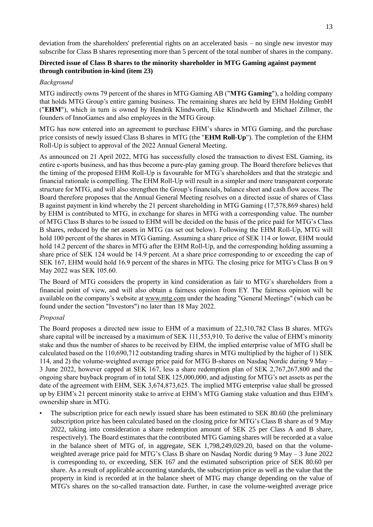deviation from the shareholders' preferential rights on an accelerated basis – no single new investor may subscribe for Class B shares representing more than 5 percent of the total number of shares in the company.

# **Directed issue of Class B shares to the minority shareholder in MTG Gaming against payment through contribution in-kind (item 23)**

#### *Background*

MTG indirectly owns 79 percent of the shares in MTG Gaming AB ("**MTG Gaming**"), a holding company that holds MTG Group's entire gaming business. The remaining shares are held by EHM Holding GmbH ("**EHM**"), which in turn is owned by Hendrik Klindworth, Eike Klindworth and Michael Zillmer, the founders of InnoGames and also employees in the MTG Group.

MTG has now entered into an agreement to purchase EHM's shares in MTG Gaming, and the purchase price consists of newly issued Class B shares in MTG (the "**EHM Roll-Up**"). The completion of the EHM Roll-Up is subject to approval of the 2022 Annual General Meeting.

As announced on 21 April 2022, MTG has successfully closed the transaction to divest ESL Gaming, its entire e-sports business, and has thus become a pure-play gaming group. The Board therefore believes that the timing of the proposed EHM Roll-Up is favourable for MTG's shareholders and that the strategic and financial rationale is compelling. The EHM Roll-Up will result in a simpler and more transparent corporate structure for MTG, and will also strengthen the Group's financials, balance sheet and cash flow access. The Board therefore proposes that the Annual General Meeting resolves on a directed issue of shares of Class B against payment in kind whereby the 21 percent shareholding in MTG Gaming (17,578,869 shares) held by EHM is contributed to MTG, in exchange for shares in MTG with a corresponding value. The number of MTG Class B shares to be issued to EHM will be decided on the basis of the price paid for MTG's Class B shares, reduced by the net assets in MTG (as set out below). Following the EHM Roll-Up, MTG will hold 100 percent of the shares in MTG Gaming. Assuming a share price of SEK 114 or lower, EHM would hold 14.2 percent of the shares in MTG after the EHM Roll-Up, and the corresponding holding assuming a share price of SEK 124 would be 14.9 percent. At a share price corresponding to or exceeding the cap of SEK 167, EHM would hold 16.9 percent of the shares in MTG. The closing price for MTG's Class B on 9 May 2022 was SEK 105.60.

The Board of MTG considers the property in kind consideration as fair to MTG's shareholders from a financial point of view, and will also obtain a fairness opinion from EY. The fairness opinion will be available on the company's website at www.mtg.com under the heading "General Meetings" (which can be found under the section "Investors") no later than 18 May 2022.

## *Proposal*

The Board proposes a directed new issue to EHM of a maximum of 22,310,782 Class B shares. MTG's share capital will be increased by a maximum of SEK 111,553,910. To derive the value of EHM's minority stake and thus the number of shares to be received by EHM, the implied enterprise value of MTG shall be calculated based on the 110,690,712 outstanding trading shares in MTG multiplied by the higher of 1) SEK 114, and 2) the volume-weighted average price paid for MTG B-shares on Nasdaq Nordic during 9 May – 3 June 2022, however capped at SEK 167, less a share redemption plan of SEK 2,767,267,800 and the ongoing share buyback program of in total SEK 125,000,000, and adjusting for MTG's net assets as per the date of the agreement with EHM, SEK 3,674,873,625. The implied MTG enterprise value shall be grossed up by EHM's 21 percent minority stake to arrive at EHM's MTG Gaming stake valuation and thus EHM's ownership share in MTG.

The subscription price for each newly issued share has been estimated to SEK 80.60 (the preliminary subscription price has been calculated based on the closing price for MTG's Class B share as of 9 May 2022, taking into consideration a share redemption amount of SEK 25 per Class A and B share, respectively). The Board estimates that the contributed MTG Gaming shares will be recorded at a value in the balance sheet of MTG of, in aggregate, SEK 1,798,249,029.20, based on that the volumeweighted average price paid for MTG's Class B share on Nasdaq Nordic during 9 May – 3 June 2022 is corresponding to, or exceeding, SEK 167 and the estimated subscription price of SEK 80.60 per share. As a result of applicable accounting standards, the subscription price as well as the value that the property in kind is recorded at in the balance sheet of MTG may change depending on the value of MTG's shares on the so-called transaction date. Further, in case the volume-weighted average price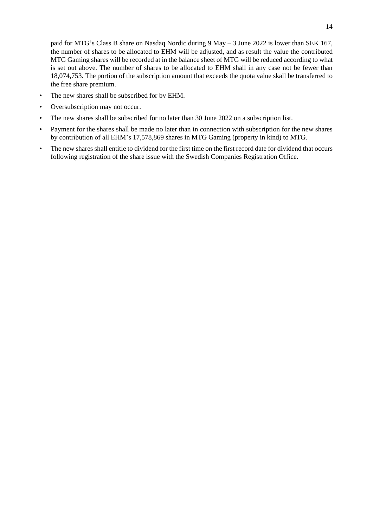paid for MTG's Class B share on Nasdaq Nordic during 9 May – 3 June 2022 is lower than SEK 167, the number of shares to be allocated to EHM will be adjusted, and as result the value the contributed MTG Gaming shares will be recorded at in the balance sheet of MTG will be reduced according to what is set out above. The number of shares to be allocated to EHM shall in any case not be fewer than 18,074,753. The portion of the subscription amount that exceeds the quota value skall be transferred to the free share premium.

- The new shares shall be subscribed for by EHM.
- Oversubscription may not occur.
- The new shares shall be subscribed for no later than 30 June 2022 on a subscription list.
- Payment for the shares shall be made no later than in connection with subscription for the new shares by contribution of all EHM's 17,578,869 shares in MTG Gaming (property in kind) to MTG.
- The new shares shall entitle to dividend for the first time on the first record date for dividend that occurs following registration of the share issue with the Swedish Companies Registration Office.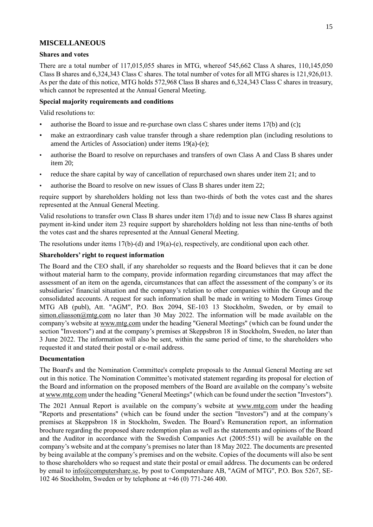## **MISCELLANEOUS**

## **Shares and votes**

There are a total number of 117,015,055 shares in MTG, whereof 545,662 Class A shares, 110,145,050 Class B shares and 6,324,343 Class C shares. The total number of votes for all MTG shares is 121,926,013. As per the date of this notice, MTG holds 572,968 Class B shares and 6,324,343 Class C shares in treasury, which cannot be represented at the Annual General Meeting.

## **Special majority requirements and conditions**

Valid resolutions to:

- authorise the Board to issue and re-purchase own class C shares under items 17(b) and (c)**;**
- make an extraordinary cash value transfer through a share redemption plan (including resolutions to amend the Articles of Association) under items 19(a)-(e);
- authorise the Board to resolve on repurchases and transfers of own Class A and Class B shares under item 20;
- reduce the share capital by way of cancellation of repurchased own shares under item 21; and to
- authorise the Board to resolve on new issues of Class B shares under item 22;

require support by shareholders holding not less than two-thirds of both the votes cast and the shares represented at the Annual General Meeting.

Valid resolutions to transfer own Class B shares under item 17(d) and to issue new Class B shares against payment in-kind under item 23 require support by shareholders holding not less than nine-tenths of both the votes cast and the shares represented at the Annual General Meeting.

The resolutions under items 17(b)-(d) and 19(a)-(e), respectively, are conditional upon each other.

## **Shareholders' right to request information**

The Board and the CEO shall, if any shareholder so requests and the Board believes that it can be done without material harm to the company, provide information regarding circumstances that may affect the assessment of an item on the agenda, circumstances that can affect the assessment of the company's or its subsidiaries' financial situation and the company's relation to other companies within the Group and the consolidated accounts. A request for such information shall be made in writing to Modern Times Group MTG AB (publ), Att. "AGM", P.O. Box 2094, SE-103 13 Stockholm, Sweden, or by email to simon.eliasson@mtg.com no later than 30 May 2022. The information will be made available on the company's website at www.mtg.com under the heading "General Meetings" (which can be found under the section "Investors") and at the company's premises at Skeppsbron 18 in Stockholm, Sweden, no later than 3 June 2022. The information will also be sent, within the same period of time, to the shareholders who requested it and stated their postal or e-mail address.

## **Documentation**

The Board's and the Nomination Committee's complete proposals to the Annual General Meeting are set out in this notice. The Nomination Committee's motivated statement regarding its proposal for election of the Board and information on the proposed members of the Board are available on the company's website at www.mtg.com under the heading "General Meetings" (which can be found under the section "Investors").

The 2021 Annual Report is available on the company's website at www.mtg.com under the heading "Reports and presentations" (which can be found under the section "Investors") and at the company's premises at Skeppsbron 18 in Stockholm, Sweden. The Board's Remuneration report, an information brochure regarding the proposed share redemption plan as well as the statements and opinions of the Board and the Auditor in accordance with the Swedish Companies Act (2005:551) will be available on the company's website and at the company's premises no later than 18 May 2022. The documents are presented by being available at the company's premises and on the website. Copies of the documents will also be sent to those shareholders who so request and state their postal or email address. The documents can be ordered by email to info@computershare.se, by post to Computershare AB, "AGM of MTG", P.O. Box 5267, SE-102 46 Stockholm, Sweden or by telephone at +46 (0) 771-246 400.